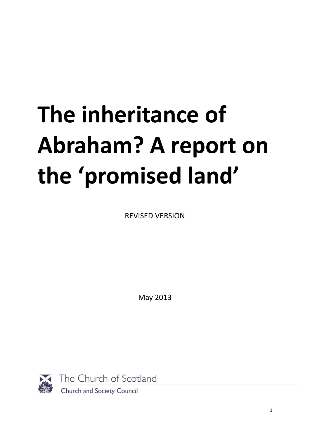# **The inheritance of Abraham? A report on the 'promised land'**

REVISED VERSION

May 2013



The Church of Scotland

Church and Society Council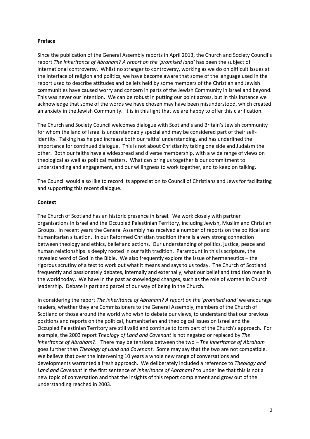#### **Preface**

Since the publication of the General Assembly reports in April 2013, the Church and Society Council's report *The Inheritance of Abraham? A report on the 'promised land'* has been the subject of international controversy. Whilst no stranger to controversy, working as we do on difficult issues at the interface of religion and politics, we have become aware that some of the language used in the report used to describe attitudes and beliefs held by some members of the Christian and Jewish communities have caused worry and concern in parts of the Jewish Community in Israel and beyond. This was never our intention. We can be robust in putting our point across, but in this instance we acknowledge that some of the words we have chosen may have been misunderstood, which created an anxiety in the Jewish Community. It is in this light that we are happy to offer this clarification.

The Church and Society Council welcomes dialogue with Scotland's and Britain's Jewish community for whom the land of Israel is understandably special and may be considered part of their selfidentity. Talking has helped increase both our faiths' understanding, and has underlined the importance for continued dialogue. This is not about Christianity taking one side and Judaism the other. Both our faiths have a widespread and diverse membership, with a wide range of views on theological as well as political matters. What can bring us together is our commitment to understanding and engagement, and our willingness to work together, and to keep on talking.

The Council would also like to record its appreciation to Council of Christians and Jews for facilitating and supporting this recent dialogue.

#### **Context**

The Church of Scotland has an historic presence in Israel. We work closely with partner organisations in Israel and the Occupied Palestinian Territory, including Jewish, Muslim and Christian Groups. In recent years the General Assembly has received a number of reports on the political and humanitarian situation. In our Reformed Christian tradition there is a very strong connection between theology and ethics, belief and actions. Our understanding of politics, justice, peace and human relationships is deeply rooted in our faith tradition. Paramount in this is scripture, the revealed word of God in the Bible. We also frequently explore the issue of hermeneutics – the rigorous scrutiny of a text to work out what it means and says to us today. The Church of Scotland frequently and passionately debates, internally and externally, what our belief and tradition mean in the world today. We have in the past acknowledged changes, such as the role of women in Church leadership. Debate is part and parcel of our way of being in the Church.

In considering the report *The inheritance of Abraham? A report on the 'promised land'* we encourage readers, whether they are Commissioners to the General Assembly, members of the Church of Scotland or those around the world who wish to debate our views, to understand that our previous positions and reports on the political, humanitarian and theological issues on Israel and the Occupied Palestinian Territory are still valid and continue to form part of the Church's approach. For example, the 2003 report *Theology of Land and Covenant* is not negated or replaced by *The inheritance of Abraham?*. There may be tensions between the two – *The inheritance of Abraham*  goes further than *Theology of Land and Covenant*. Some may say that the two are not compatible. We believe that over the intervening 10 years a whole new range of conversations and developments warranted a fresh approach. We deliberately included a reference to *Theology and Land and Covenant* in the first sentence of *Inheritance of Abraham?* to underline that this is not a new topic of conversation and that the insights of this report complement and grow out of the understanding reached in 2003.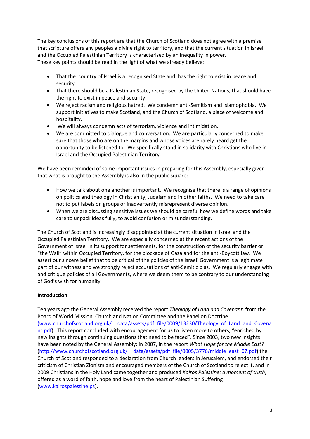The key conclusions of this report are that the Church of Scotland does not agree with a premise that scripture offers any peoples a divine right to territory, and that the current situation in Israel and the Occupied Palestinian Territory is characterised by an inequality in power. These key points should be read in the light of what we already believe:

- That the country of Israel is a recognised State and has the right to exist in peace and security
- That there should be a Palestinian State, recognised by the United Nations, that should have the right to exist in peace and security.
- We reject racism and religious hatred. We condemn anti-Semitism and Islamophobia. We support initiatives to make Scotland, and the Church of Scotland, a place of welcome and hospitality.
- We will always condemn acts of terrorism, violence and intimidation.
- We are committed to dialogue and conversation. We are particularly concerned to make sure that those who are on the margins and whose voices are rarely heard get the opportunity to be listened to. We specifically stand in solidarity with Christians who live in Israel and the Occupied Palestinian Territory.

We have been reminded of some important issues in preparing for this Assembly, especially given that what is brought to the Assembly is also in the public square:

- How we talk about one another is important. We recognise that there is a range of opinions on politics and theology in Christianity, Judaism and in other faiths. We need to take care not to put labels on groups or inadvertently misrepresent diverse opinion.
- When we are discussing sensitive issues we should be careful how we define words and take care to unpack ideas fully, to avoid confusion or misunderstanding.

The Church of Scotland is increasingly disappointed at the current situation in Israel and the Occupied Palestinian Territory. We are especially concerned at the recent actions of the Government of Israel in its support for settlements, for the construction of the security barrier or "the Wall" within Occupied Territory, for the blockade of Gaza and for the anti-Boycott law. We assert our sincere belief that to be critical of the policies of the Israeli Government is a legitimate part of our witness and we strongly reject accusations of anti-Semitic bias. We regularly engage with and critique policies of all Governments, where we deem them to be contrary to our understanding of God's wish for humanity.

# **Introduction**

Ten years ago the General Assembly received the report *Theology of Land and Covenant*, from the Board of World Mission, Church and Nation Committee and the Panel on Doctrine [\(www.churchofscotland.org.uk/\\_\\_data/assets/pdf\\_file/0009/13230/Theology\\_of\\_Land\\_and\\_Covena](http://(www.churchofscotland.org.uk/__data/assets/pdf_file/0009/13230/Theology_of_Land_and_Covenant.pdf) [nt.pdf](http://(www.churchofscotland.org.uk/__data/assets/pdf_file/0009/13230/Theology_of_Land_and_Covenant.pdf)). This report concluded with encouragement for us to listen more to others, "enriched by new insights through continuing questions that need to be faced". Since 2003, two new insights have been noted by the General Assembly: in 2007, in the report *What Hope for the Middle East?* (http://www.churchofscotland.org.uk/ data/assets/pdf file/0005/3776/middle east\_07.pdf) the Church of Scotland responded to a declaration from Church leaders in Jerusalem, and endorsed their criticism of Christian Zionism and encouraged members of the Church of Scotland to reject it, and in 2009 Christians in the Holy Land came together and produced *Kairos Palestine: a moment of truth*, offered as a word of faith, hope and love from the heart of Palestinian Suffering [\(www.kairospalestine.ps\)](http://www.kairospalestine.ps/).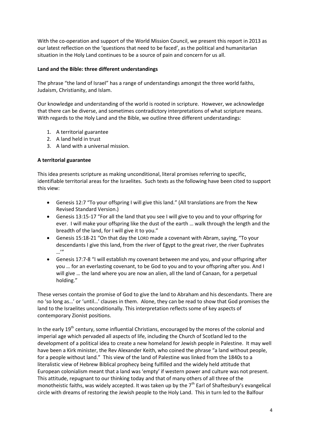With the co-operation and support of the World Mission Council, we present this report in 2013 as our latest reflection on the 'questions that need to be faced', as the political and humanitarian situation in the Holy Land continues to be a source of pain and concern for us all.

### **Land and the Bible: three different understandings**

The phrase "the land of Israel" has a range of understandings amongst the three world faiths, Judaism, Christianity, and Islam.

Our knowledge and understanding of the world is rooted in scripture. However, we acknowledge that there can be diverse, and sometimes contradictory interpretations of what scripture means. With regards to the Holy Land and the Bible, we outline three different understandings:

- 1. A territorial guarantee
- 2. A land held in trust
- 3. A land with a universal mission.

#### **A territorial guarantee**

This idea presents scripture as making unconditional, literal promises referring to specific, identifiable territorial areas for the Israelites. Such texts as the following have been cited to support this view:

- Genesis 12:7 "To your offspring I will give this land." (All translations are from the New Revised Standard Version.)
- Genesis 13:15-17 "For all the land that you see I will give to you and to your offspring for ever. I will make your offspring like the dust of the earth … walk through the length and the breadth of the land, for I will give it to you."
- Genesis 15:18-21 "On that day the LORD made a covenant with Abram, saying, "To your descendants I give this land, from the river of Egypt to the great river, the river Euphrates …"
- Genesis 17:7-8 "I will establish my covenant between me and you, and your offspring after you … for an everlasting covenant, to be God to you and to your offspring after you. And I will give … the land where you are now an alien, all the land of Canaan, for a perpetual holding."

These verses contain the promise of God to give the land to Abraham and his descendants. There are no 'so long as…' or 'until…' clauses in them. Alone, they can be read to show that God promises the land to the Israelites unconditionally. This interpretation reflects some of key aspects of contemporary Zionist positions.

In the early 19<sup>th</sup> century, some influential Christians, encouraged by the mores of the colonial and imperial age which pervaded all aspects of life, including the Church of Scotland led to the development of a political idea to create a new homeland for Jewish people in Palestine. It may well have been a Kirk minister, the Rev Alexander Keith, who coined the phrase "a land without people, for a people without land." This view of the land of Palestine was linked from the 1840s to a literalistic view of Hebrew Biblical prophecy being fulfilled and the widely held attitude that European colonialism meant that a land was 'empty' if western power and culture was not present. This attitude, repugnant to our thinking today and that of many others of all three of the monotheistic faiths, was widely accepted. It was taken up by the  $7<sup>th</sup>$  Earl of Shaftesbury's evangelical circle with dreams of restoring the Jewish people to the Holy Land. This in turn led to the Balfour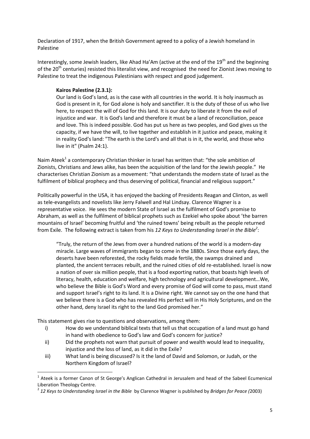Declaration of 1917, when the British Government agreed to a policy of a Jewish homeland in Palestine

Interestingly, some Jewish leaders, like Ahad Ha'Am (active at the end of the 19<sup>th</sup> and the beginning of the 20<sup>th</sup> centuries) resisted this literalist view, and recognised the need for Zionist Jews moving to Palestine to treat the indigenous Palestinians with respect and good judgement.

#### **Kairos Palestine (2.3.1):**

Our land is God's land, as is the case with all countries in the world. It is holy inasmuch as God is present in it, for God alone is holy and sanctifier. It is the duty of those of us who live here, to respect the will of God for this land. It is our duty to liberate it from the evil of injustice and war. It is God's land and therefore it must be a land of reconciliation, peace and love. This is indeed possible. God has put us here as two peoples, and God gives us the capacity, if we have the will, to live together and establish in it justice and peace, making it in reality God's land: "The earth is the Lord's and all that is in it, the world, and those who live in it" (Psalm 24:1).

Naim Ateek<sup>1</sup> a contemporary Christian thinker in Israel has written that: "the sole ambition of Zionists, Christians and Jews alike, has been the acquisition of the land for the Jewish people." He characterises Christian Zionism as a movement: "that understands the modern state of Israel as the fulfilment of biblical prophecy and thus deserving of political, financial and religious support."

Politically powerful in the USA, it has enjoyed the backing of Presidents Reagan and Clinton, as well as tele-evangelists and novelists like Jerry Falwell and Hal Lindsay. Clarence Wagner is a representative voice. He sees the modern State of Israel as the fulfilment of God's promise to Abraham, as well as the fulfilment of biblical prophets such as Ezekiel who spoke about 'the barren mountains of Israel' becoming fruitful and 'the ruined towns' being rebuilt as the people returned from Exile. The following extract is taken from his *12 Keys to Understanding Israel in the Bible<sup>2</sup>* :

"Truly, the return of the Jews from over a hundred nations of the world is a modern-day miracle. Large waves of immigrants began to come in the 1880s. Since those early days, the deserts have been reforested, the rocky fields made fertile, the swamps drained and planted, the ancient terraces rebuilt, and the ruined cities of old re-established. Israel is now a nation of over six million people, that is a food exporting nation, that boasts high levels of literacy, health, education and welfare, high technology and agricultural development…We, who believe the Bible is God's Word and every promise of God will come to pass, must stand and support Israel's right to its land. It is a Divine right. We cannot say on the one hand that we believe there is a God who has revealed His perfect will in His Holy Scriptures, and on the other hand, deny Israel its right to the land God promised her."

This statement gives rise to questions and observations, among them:

<u>.</u>

- i) How do we understand biblical texts that tell us that occupation of a land must go hand in hand with obedience to God's law and God's concern for justice?
- ii) Did the prophets not warn that pursuit of power and wealth would lead to inequality, injustice and the loss of land, as it did in the Exile?
- iii) What land is being discussed? Is it the land of David and Solomon, or Judah, or the Northern Kingdom of Israel?

<sup>&</sup>lt;sup>1</sup> Ateek is a former Canon of St George's Anglican Cathedral in Jerusalem and head of the Sabeel Ecumenical Liberation Theology Centre.

<sup>2</sup> *12 Keys to Understanding Israel in the Bible* by Clarence Wagner is published by *Bridges for Peace (*2003)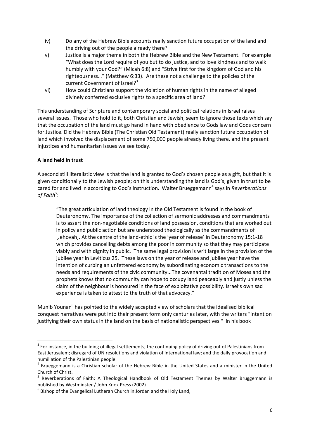- iv) Do any of the Hebrew Bible accounts really sanction future occupation of the land and the driving out of the people already there?
- v) Justice is a major theme in both the Hebrew Bible and the New Testament. For example "What does the Lord require of you but to do justice, and to love kindness and to walk humbly with your God?" (Micah 6:8) and "Strive first for the kingdom of God and his righteousness…" (Matthew 6:33). Are these not a challenge to the policies of the current Government of Israel?<sup>3</sup>
- vi) How could Christians support the violation of human rights in the name of alleged divinely conferred exclusive rights to a specific area of land?

This understanding of Scripture and contemporary social and political relations in Israel raises several issues. Those who hold to it, both Christian and Jewish, seem to ignore those texts which say that the occupation of the land must go hand in hand with obedience to Gods law and Gods concern for Justice. Did the Hebrew Bible (The Christian Old Testament) really sanction future occupation of land which involved the displacement of some 750,000 people already living there, and the present injustices and humanitarian issues we see today.

# **A land held in trust**

<u>.</u>

A second still literalistic view is that the land is granted to God's chosen people as a gift, but that it is given conditionally to the Jewish people; on this understanding the land is God's, given in trust to be cared for and lived in according to God's instruction. Walter Brueggemann<sup>4</sup> says in *Reverberations of Faith<sup>5</sup>* :

"The great articulation of land theology in the Old Testament is found in the book of Deuteronomy. The importance of the collection of sermonic addresses and commandments is to assert the non-negotiable conditions of land possession, conditions that are worked out in policy and public action but are understood theologically as the commandments of [Jehovah]. At the centre of the land-ethic is the 'year of release' in Deuteronomy 15:1-18 which provides cancelling debts among the poor in community so that they may participate viably and with dignity in public. The same legal provision is writ large in the provision of the jubilee year in Leviticus 25. These laws on the year of release and jubilee year have the intention of curbing an unfettered economy by subordinating economic transactions to the needs and requirements of the civic community...The covenantal tradition of Moses and the prophets knows that no community can hope to occupy land peaceably and justly unless the claim of the neighbour is honoured in the face of exploitative possibility. Israel's own sad experience is taken to attest to the truth of that advocacy."

Munib Younan<sup>6</sup> has pointed to the widely accepted view of scholars that the idealised biblical conquest narratives were put into their present form only centuries later, with the writers "intent on justifying their own status in the land on the basis of nationalistic perspectives." In his book

 $3$  For instance, in the building of illegal settlements; the continuing policy of driving out of Palestinians from East Jerusalem; disregard of UN resolutions and violation of international law; and the daily provocation and humiliation of the Palestinian people.

<sup>&</sup>lt;sup>4</sup> Brueggemann is a Christian scholar of the Hebrew Bible in the United States and a minister in the United Church of Christ.

<sup>&</sup>lt;sup>5</sup> Reverberations of Faith: A Theological Handbook of Old Testament Themes by Walter Bruggemann is published by Westminster / John Knox Press (2002)

<sup>6</sup> Bishop of the Evangelical Lutheran Church in Jordan and the Holy Land,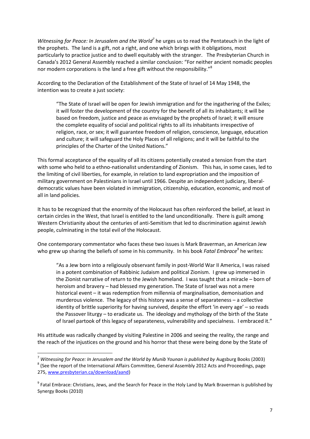Witnessing for Peace: In Jerusalem and the World<sup>7</sup> he urges us to read the Pentateuch in the light of the prophets. The land is a gift, not a right, and one which brings with it obligations, most particularly to practice justice and to dwell equitably with the stranger. The Presbyterian Church in Canada's 2012 General Assembly reached a similar conclusion: "For neither ancient nomadic peoples nor modern corporations is the land a free gift without the responsibility."<sup>8</sup>

According to the Declaration of the Establishment of the State of Israel of 14 May 1948, the intention was to create a just society:

"The State of Israel will be open for Jewish immigration and for the ingathering of the Exiles; it will foster the development of the country for the benefit of all its inhabitants; it will be based on freedom, justice and peace as envisaged by the prophets of Israel; it will ensure the complete equality of social and political rights to all its inhabitants irrespective of religion, race, or sex; it will guarantee freedom of religion, conscience, language, education and culture; it will safeguard the Holy Places of all religions; and it will be faithful to the principles of the Charter of the United Nations."

This formal acceptance of the equality of all its citizens potentially created a tension from the start with some who held to a ethno-nationalist understanding of Zionism. This has, in some cases, led to the limiting of civil liberties, for example, in relation to land expropriation and the imposition of military government on Palestinians in Israel until 1966. Despite an independent judiciary, liberaldemocratic values have been violated in immigration, citizenship, education, economic, and most of all in land policies*.* 

It has to be recognized that the enormity of the Holocaust has often reinforced the belief, at least in certain circles in the West, that Israel is entitled to the land unconditionally. There is guilt among Western Christianity about the centuries of anti-Semitism that led to discrimination against Jewish people, culminating in the total evil of the Holocaust.

One contemporary commentator who faces these two issues is Mark Braverman, an American Jew who grew up sharing the beliefs of some in his community. In his book *Fatal Embrace<sup>9</sup>* he writes:

"As a Jew born into a religiously observant family in post-World War II America, I was raised in a potent combination of Rabbinic Judaism and political Zionism. I grew up immersed in the Zionist narrative of return to the Jewish homeland. I was taught that a miracle – born of heroism and bravery – had blessed my generation. The State of Israel was not a mere historical event – it was redemption from millennia of marginalisation, demonisation and murderous violence. The legacy of this history was a sense of separateness – a collective identity of brittle superiority for having survived, despite the effort 'in every age' – so reads the Passover liturgy – to eradicate us. The ideology and mythology of the birth of the State of Israel partook of this legacy of separateness, vulnerability and specialness. I embraced it."

His attitude was radically changed by visiting Palestine in 2006 and seeing the reality, the range and the reach of the injustices on the ground and his horror that these were being done by the State of

1

<sup>7</sup> *Witnessing for Peace: In Jerusalem and the World by Munib Younan is published by* Augsburg Books (2003)

 $^8$  (See the report of the International Affairs Committee, General Assembly 2012 Acts and Proceedings, page 275, [www.presbyterian.ca/download/aand\)](http://www.presbyterian.ca/download/aand)

<sup>&</sup>lt;sup>9</sup> Fatal Embrace: Christians, Jews, and the Search for Peace in the Holy Land by Mark Braverman is published by Synergy Books (2010)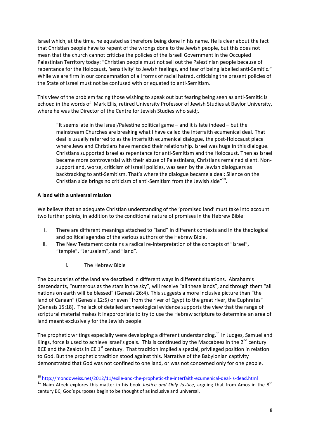Israel which, at the time, he equated as therefore being done in his name. He is clear about the fact that Christian people have to repent of the wrongs done to the Jewish people, but this does not mean that the church cannot criticise the policies of the Israeli Government in the Occupied Palestinian Territory today: "Christian people must not sell out the Palestinian people because of repentance for the Holocaust, 'sensitivity' to Jewish feelings, and fear of being labelled anti-Semitic." While we are firm in our condemnation of all forms of racial hatred, criticising the present policies of the State of Israel must not be confused with or equated to anti-Semitism.

This view of the problem facing those wishing to speak out but fearing being seen as anti-Semitic is echoed in the words of Mark Ellis, retired University Professor of Jewish Studies at Baylor University, where he was the Director of the Centre for Jewish Studies who said;.

"It seems late in the Israel/Palestine political game  $-$  and it is late indeed  $-$  but the [mainstream Churches are breaking what I have called the interfaith ecumenical deal.](http://mondoweiss.net/2012/11/church-denominations-stand-strong-in-the-face-of-jewish-establishment-uproar-over-letter-to-congress.html) That deal is usually referred to as the interfaith ecumenical dialogue, the post-Holocaust place where Jews and Christians have mended their relationship. Israel was huge in this dialogue. Christians supported Israel as repentance for anti-Semitism and the Holocaust. Then as Israel became more controversial with their abuse of Palestinians, Christians remained silent. Nonsupport and, worse, criticism of Israeli policies, was seen by the Jewish dialoguers as backtracking to anti-Semitism. That's where the dialogue became a deal: Silence on the Christian side brings no criticism of anti-Semitism from the Jewish side"<sup>10</sup>.

# **A land with a universal mission**

<u>.</u>

We believe that an adequate Christian understanding of the 'promised land' must take into account two further points, in addition to the conditional nature of promises in the Hebrew Bible:

- i. There are different meanings attached to "land" in different contexts and in the theological and political agendas of the various authors of the Hebrew Bible.
- ii. The New Testament contains a radical re-interpretation of the concepts of "Israel", "temple", "Jerusalem", and "land".
	- i. The Hebrew Bible

The boundaries of the land are described in different ways in different situations. Abraham's descendants, "numerous as the stars in the sky", will receive "all these lands", and through them "all nations on earth will be blessed" (Genesis 26:4). This suggests a more inclusive picture than "the land of Canaan" (Genesis 12:5) or even "from the river of Egypt to the great river, the Euphrates" (Genesis 15:18). The lack of detailed archaeological evidence supports the view that the range of scriptural material makes it inappropriate to try to use the Hebrew scripture to determine an area of land meant exclusively for the Jewish people.

The prophetic writings especially were developing a different understanding.<sup>11</sup> In Judges, Samuel and Kings, force is used to achieve Israel's goals. This is continued by the Maccabees in the  $2^{nd}$  century BCE and the Zealots in CE  $1<sup>st</sup>$  century. That tradition implied a special, privileged position in relation to God. But the prophetic tradition stood against this. Narrative of the Babylonian captivity demonstrated that God was not confined to one land, or was not concerned only for one people.

<sup>10</sup> <http://mondoweiss.net/2012/11/exile-and-the-prophetic-the-interfaith-ecumenical-deal-is-dead.html>

<sup>&</sup>lt;sup>11</sup> Naim Ateek explores this matter in his book Justice and Only Justice, arguing that from Amos in the 8<sup>th</sup> century BC, God's purposes begin to be thought of as inclusive and universal.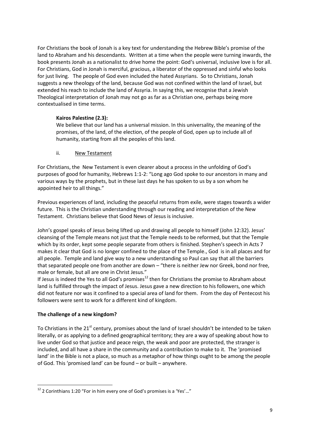For Christians the book of Jonah is a key text for understanding the Hebrew Bible's promise of the land to Abraham and his descendants. Written at a time when the people were turning inwards, the book presents Jonah as a nationalist to drive home the point: God's universal, inclusive love is for all. For Christians, God in Jonah is merciful, gracious, a liberator of the oppressed and sinful who looks for just living. The people of God even included the hated Assyrians. So to Christians, Jonah suggests a new theology of the land, because God was not confined within the land of Israel, but extended his reach to include the land of Assyria. In saying this, we recognise that a Jewish Theological interpretation of Jonah may not go as far as a Christian one, perhaps being more contextualised in time terms.

# **Kairos Palestine (2.3):**

We believe that our land has a universal mission. In this universality, the meaning of the promises, of the land, of the election, of the people of God, open up to include all of humanity, starting from all the peoples of this land.

# ii. New Testament

For Christians, the New Testament is even clearer about a process in the unfolding of God's purposes of good for humanity, Hebrews 1:1-2: "Long ago God spoke to our ancestors in many and various ways by the prophets, but in these last days he has spoken to us by a son whom he appointed heir to all things."

Previous experiences of land, including the peaceful returns from exile, were stages towards a wider future. This is the Christian understanding through our reading and interpretation of the New Testament. Christians believe that Good News of Jesus is inclusive.

John's gospel speaks of Jesus being lifted up and drawing all people to himself (John 12:32). Jesus' cleansing of the Temple means not just that the Temple needs to be reformed, but that the Temple which by its order, kept some people separate from others is finished. Stephen's speech in Acts 7 makes it clear that God is no longer confined to the place of the Temple., God is in all places and for all people. Temple and land give way to a new understanding so Paul can say that all the barriers that separated people one from another are down – "there is neither Jew nor Greek, bond nor free, male or female, but all are one in Christ Jesus."

If Jesus is indeed the Yes to all God's promises<sup>12</sup> then for Christians the promise to Abraham about land is fulfilled through the impact of Jesus. Jesus gave a new direction to his followers, one which did not feature nor was it confined to a special area of land for them. From the day of Pentecost his followers were sent to work for a different kind of kingdom.

# **The challenge of a new kingdom?**

To Christians in the 21<sup>st</sup> century, promises about the land of Israel shouldn't be intended to be taken literally, or as applying to a defined geographical territory; they are a way of speaking about how to live under God so that justice and peace reign, the weak and poor are protected, the stranger is included, and all have a share in the community and a contribution to make to it. The 'promised land' in the Bible is not a place, so much as a metaphor of how things ought to be among the people of God. This 'promised land' can be found – or built – anywhere.

<sup>1</sup>  $12$  2 Corinthians 1:20 "For in him every one of God's promises is a 'Yes'..."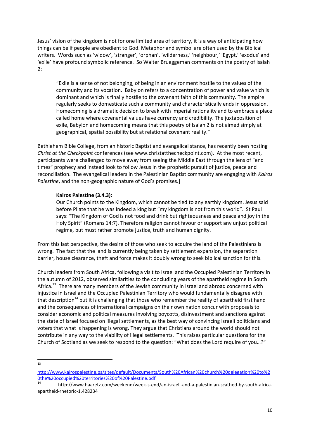Jesus' vision of the kingdom is not for one limited area of territory, it is a way of anticipating how things can be if people are obedient to God. Metaphor and symbol are often used by the Biblical writers. Words such as 'widow', 'stranger', 'orphan', 'wilderness,' 'neighbour,' 'Egypt,' 'exodus' and 'exile' have profound symbolic reference. So Walter Brueggeman comments on the poetry of Isaiah 2:

"Exile is a sense of not belonging, of being in an environment hostile to the values of the community and its vocation. Babylon refers to a concentration of power and value which is dominant and which is finally hostile to the covenant faith of this community. The empire regularly seeks to domesticate such a community and characteristically ends in oppression. Homecoming is a dramatic decision to break with imperial rationality and to embrace a place called home where covenantal values have currency and credibility. The juxtaposition of exile, Babylon and homecoming means that this poetry of Isaiah 2 is not aimed simply at geographical, spatial possibility but at relational covenant reality."

Bethlehem Bible College, from an historic Baptist and evangelical stance, has recently been hosting *Christ at the Checkpoint* conferences (see www.christatthecheckpoint.com). At the most recent, participants were challenged to move away from seeing the Middle East through the lens of "end times" prophecy and instead look to follow Jesus in the prophetic pursuit of justice, peace and reconciliation. The evangelical leaders in the Palestinian Baptist community are engaging with *Kairos Palestine*, and the non-geographic nature of God's promises.]

#### **Kairos Palestine (3.4.3):**

Our Church points to the Kingdom, which cannot be tied to any earthly kingdom. Jesus said before Pilate that he was indeed a king but "my kingdom is not from this world". St Paul says: "The Kingdom of God is not food and drink but righteousness and peace and joy in the Holy Spirit" (Romans 14:7). Therefore religion cannot favour or support any unjust political regime, but must rather promote justice, truth and human dignity.

From this last perspective, the desire of those who seek to acquire the land of the Palestinians is wrong. The fact that the land is currently being taken by settlement expansion, the separation barrier, house clearance, theft and force makes it doubly wrong to seek biblical sanction for this.

Church leaders from South Africa, following a visit to Israel and the Occupied Palestinian Territory in the autumn of 2012, observed similarities to the concluding years of the apartheid regime in South Africa.<sup>13</sup> There are many members of the Jewish community in Israel and abroad concerned with injustice in Israel and the Occupied Palestinian Territory who would fundamentally disagree with that description<sup>14</sup> but it is challenging that those who remember the reality of apartheid first hand and the consequences of international campaigns on their own nation concur with proposals to consider economic and political measures involving boycotts, disinvestment and sanctions against the state of Israel focused on illegal settlements, as the best way of convincing Israeli politicians and voters that what is happening is wrong. They argue that Christians around the world should not contribute in any way to the viability of illegal settlements. This raises particular questions for the Church of Scotland as we seek to respond to the question: "What does the Lord require of you…?"

 $\frac{1}{13}$ 

[http://www.kairospalestine.ps/sites/default/Documents/South%20African%20church%20delegation%20to%2](http://www.kairospalestine.ps/sites/default/Documents/South%20African%20church%20delegation%20to%20the%20occupied%20territories%20of%20Palestine.pdf) [0the%20occupied%20territories%20of%20Palestine.pdf](http://www.kairospalestine.ps/sites/default/Documents/South%20African%20church%20delegation%20to%20the%20occupied%20territories%20of%20Palestine.pdf)

<sup>14</sup> http://www.haaretz.com/weekend/week-s-end/an-israeli-and-a-palestinian-scathed-by-south-africaapartheid-rhetoric-1.428234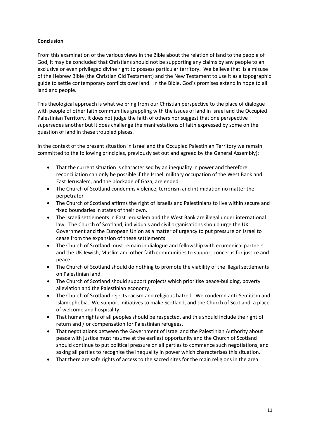# **Conclusion**

From this examination of the various views in the Bible about the relation of land to the people of God, it may be concluded that Christians should not be supporting any claims by any people to an exclusive or even privileged divine right to possess particular territory. We believe that is a misuse of the Hebrew Bible (the Christian Old Testament) and the New Testament to use it as a topographic guide to settle contemporary conflicts over land. In the Bible, God's promises extend in hope to all land and people.

This theological approach is what we bring from our Christian perspective to the place of dialogue with people of other faith communities grappling with the issues of land in Israel and the Occupied Palestinian Territory. It does not judge the faith of others nor suggest that one perspective supersedes another but it does challenge the manifestations of faith expressed by some on the question of land in these troubled places.

In the context of the present situation in Israel and the Occupied Palestinian Territory we remain committed to the following principles, previously set out and agreed by the General Assembly):

- That the current situation is characterised by an inequality in power and therefore reconciliation can only be possible if the Israeli military occupation of the West Bank and East Jerusalem, and the blockade of Gaza, are ended.
- The Church of Scotland condemns violence, terrorism and intimidation no matter the perpetrator
- The Church of Scotland affirms the right of Israelis and Palestinians to live within secure and fixed boundaries in states of their own.
- The Israeli settlements in East Jerusalem and the West Bank are illegal under international law. The Church of Scotland, individuals and civil organisations should urge the UK Government and the European Union as a matter of urgency to put pressure on Israel to cease from the expansion of these settlements.
- The Church of Scotland must remain in dialogue and fellowship with ecumenical partners and the UK Jewish, Muslim and other faith communities to support concerns for justice and peace.
- The Church of Scotland should do nothing to promote the viability of the illegal settlements on Palestinian land.
- The Church of Scotland should support projects which prioritise peace-building, poverty alleviation and the Palestinian economy.
- The Church of Scotland rejects racism and religious hatred. We condemn anti-Semitism and Islamophobia. We support initiatives to make Scotland, and the Church of Scotland, a place of welcome and hospitality.
- That human rights of all peoples should be respected, and this should include the right of return and / or compensation for Palestinian refugees.
- That negotiations between the Government of Israel and the Palestinian Authority about peace with justice must resume at the earliest opportunity and the Church of Scotland should continue to put political pressure on all parties to commence such negotiations, and asking all parties to recognise the inequality in power which characterises this situation.
- That there are safe rights of access to the sacred sites for the main religions in the area.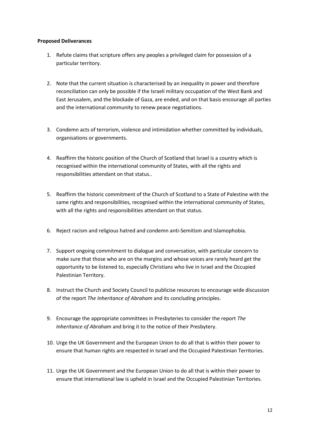#### **Proposed Deliverances**

- 1. Refute claims that scripture offers any peoples a privileged claim for possession of a particular territory.
- 2. Note that the current situation is characterised by an inequality in power and therefore reconciliation can only be possible if the Israeli military occupation of the West Bank and East Jerusalem, and the blockade of Gaza, are ended, and on that basis encourage all parties and the international community to renew peace negotiations.
- 3. Condemn acts of terrorism, violence and intimidation whether committed by individuals, organisations or governments.
- 4. Reaffirm the historic position of the Church of Scotland that Israel is a country which is recognised within the international community of States, with all the rights and responsibilities attendant on that status..
- 5. Reaffirm the historic commitment of the Church of Scotland to a State of Palestine with the same rights and responsibilities, recognised within the international community of States, with all the rights and responsibilities attendant on that status.
- 6. Reject racism and religious hatred and condemn anti-Semitism and Islamophobia.
- 7. Support ongoing commitment to dialogue and conversation, with particular concern to make sure that those who are on the margins and whose voices are rarely heard get the opportunity to be listened to, especially Christians who live in Israel and the Occupied Palestinian Territory.
- 8. Instruct the Church and Society Council to publicise resources to encourage wide discussion of the report *The Inheritance of Abraham* and its concluding principles.
- 9. Encourage the appropriate committees in Presbyteries to consider the report *The Inheritance of Abraham* and bring it to the notice of their Presbytery.
- 10. Urge the UK Government and the European Union to do all that is within their power to ensure that human rights are respected in Israel and the Occupied Palestinian Territories.
- 11. Urge the UK Government and the European Union to do all that is within their power to ensure that international law is upheld in Israel and the Occupied Palestinian Territories.